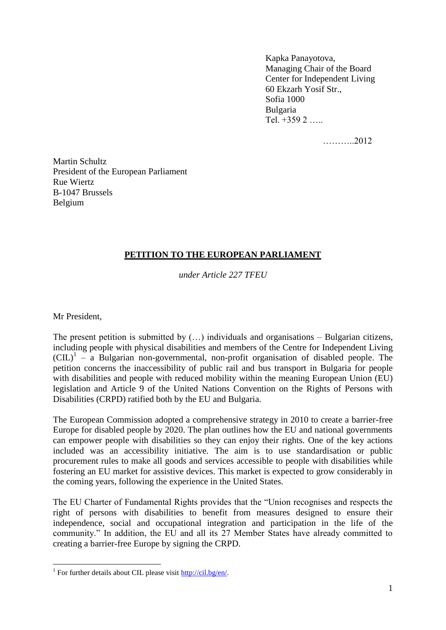Kapka Panayotova, Managing Chair of the Board Center for Independent Living 60 Ekzarh Yosif Str., Sofia 1000 Bulgaria Tel.  $+3592$  …..

………..2012

Martin Schultz President of the European Parliament Rue Wiertz B-1047 Brussels Belgium

## **PETITION TO THE EUROPEAN PARLIAMENT**

*under Article 227 TFEU*

Mr President,

<u>.</u>

The present petition is submitted by (…) individuals and organisations – Bulgarian citizens, including people with physical disabilities and members of the Centre for Independent Living  $(CIL)^1$  – a Bulgarian non-governmental, non-profit organisation of disabled people. The petition concerns the inaccessibility of public rail and bus transport in Bulgaria for people with disabilities and people with reduced mobility within the meaning European Union (EU) legislation and Article 9 of the United Nations Convention on the Rights of Persons with Disabilities (CRPD) ratified both by the EU and Bulgaria.

The European Commission adopted a comprehensive strategy in 2010 to create a barrier-free Europe for disabled people by 2020. The plan outlines how the EU and national governments can empower people with disabilities so they can enjoy their rights. One of the key actions included was an accessibility initiative. The aim is to use standardisation or public procurement rules to make all goods and services accessible to people with disabilities while fostering an EU market for assistive devices. This market is expected to grow considerably in the coming years, following the experience in the United States.

The EU Charter of Fundamental Rights provides that the "Union recognises and respects the right of persons with disabilities to benefit from measures designed to ensure their independence, social and occupational integration and participation in the life of the community." In addition, the EU and all its 27 Member States have already committed to creating a barrier-free Europe by signing the CRPD.

<sup>&</sup>lt;sup>1</sup> For further details about CIL please visit  $\frac{http://cil.bg/en/}{http://cil.bg/en/}.$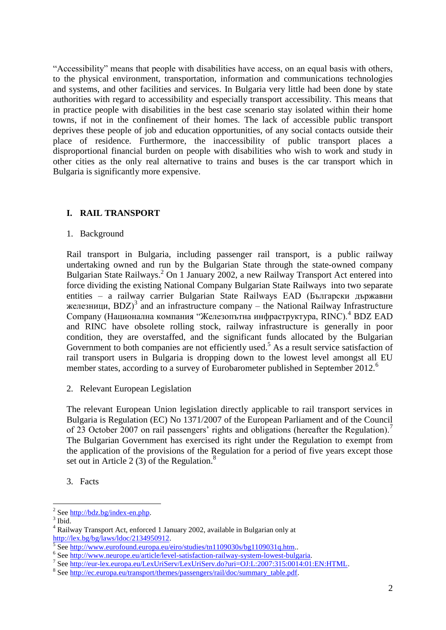"Accessibility" means that people with disabilities have access, on an equal basis with others, to the physical environment, transportation, information and communications technologies and systems, and other facilities and services. In Bulgaria very little had been done by state authorities with regard to accessibility and especially transport accessibility. This means that in practice people with disabilities in the best case scenario stay isolated within their home towns, if not in the confinement of their homes. The lack of accessible public transport deprives these people of job and education opportunities, of any social contacts outside their place of residence. Furthermore, the inaccessibility of public transport places a disproportional financial burden on people with disabilities who wish to work and study in other cities as the only real alternative to trains and buses is the car transport which in Bulgaria is significantly more expensive.

## **I. RAIL TRANSPORT**

## 1. Background

Rail transport in Bulgaria, including passenger rail transport, is a public railway undertaking owned and run by the Bulgarian State through the state-owned company Bulgarian State Railways.<sup>2</sup> On 1 January 2002, a new Railway Transport Act entered into force dividing the existing National Company Bulgarian State Railways into two separate entities – a railway carrier Bulgarian State Railways EAD (Български държавни железници,  $BDZ$ <sup>3</sup> and an infrastructure company – the National Railway Infrastructure Company (Национална компания "Железопътна инфраструктура, RINC).<sup>4</sup> BDZ EAD and RINC have obsolete rolling stock, railway infrastructure is generally in poor condition, they are overstaffed, and the significant funds allocated by the Bulgarian Government to both companies are not efficiently used.<sup>5</sup> As a result service satisfaction of rail transport users in Bulgaria is dropping down to the lowest level amongst all EU member states, according to a survey of Eurobarometer published in September 2012.<sup>6</sup>

2. Relevant European Legislation

The relevant European Union legislation directly applicable to rail transport services in Bulgaria is Regulation (EC) No 1371/2007 of the European Parliament and of the Council of 23 October 2007 on rail passengers' rights and obligations (hereafter the Regulation).<sup>7</sup> The Bulgarian Government has exercised its right under the Regulation to exempt from the application of the provisions of the Regulation for a period of five years except those set out in Article 2  $(3)$  of the Regulation.<sup>8</sup>

3. Facts

3 Ibid.

<u>.</u>

<sup>&</sup>lt;sup>2</sup> See  $\frac{http://bdz.bg/index-en.php.}{http://bdz.bg/index-en.php.}$ 

<sup>4</sup> Railway Transport Act, enforced 1 January 2002, available in Bulgarian only at [http://lex.bg/bg/laws/ldoc/2134950912.](http://lex.bg/bg/laws/ldoc/2134950912)

<sup>5</sup> See [http://www.eurofound.europa.eu/eiro/studies/tn1109030s/bg1109031q.htm..](http://www.eurofound.europa.eu/eiro/studies/tn1109030s/bg1109031q.htm)

<sup>&</sup>lt;sup>6</sup> See [http://www.neurope.eu/article/level-satisfaction-railway-system-lowest-bulgaria.](http://www.neurope.eu/article/level-satisfaction-railway-system-lowest-bulgaria)

<sup>&</sup>lt;sup>7</sup> See http://eur-lex.europa.eu/LexUriServ/LexUriServ.do?uri=OJ:L:2007:315:0014:01:EN:HTML.

<sup>&</sup>lt;sup>8</sup> See [http://ec.europa.eu/transport/themes/passengers/rail/doc/summary\\_table.pdf.](http://ec.europa.eu/transport/themes/passengers/rail/doc/summary_table.pdf)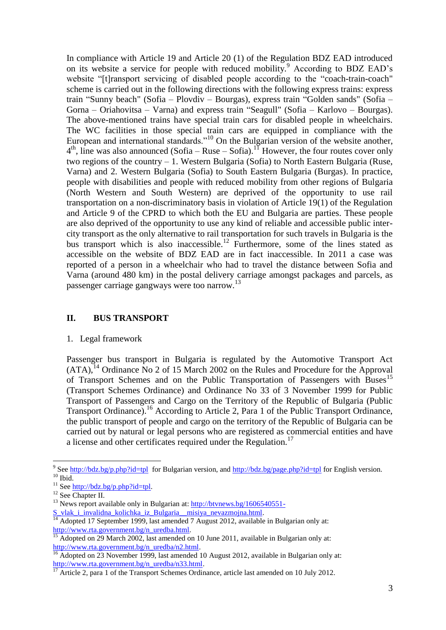In compliance with Article 19 and Article 20 (1) of the Regulation BDZ EAD introduced on its website a service for people with reduced mobility.<sup>9</sup> According to BDZ EAD's website "[t]ransport servicing of disabled people according to the "coach-train-coach" scheme is carried out in the following directions with the following express trains: express train "Sunny beach" (Sofia – Plovdiv – Bourgas), express train "Golden sands" (Sofia – Gorna – Oriahovitsa – Varna) and express train "Seagull" (Sofia – Karlovo – Bourgas). The above-mentioned trains have special train cars for disabled people in wheelchairs. The WC facilities in those special train cars are equipped in compliance with the European and international standards."<sup>10</sup> On the Bulgarian version of the website another,  $4<sup>th</sup>$ , line was also announced (Sofia – Ruse – Sofia).<sup>11</sup> However, the four routes cover only two regions of the country – 1. Western Bulgaria (Sofia) to North Eastern Bulgaria (Ruse, Varna) and 2. Western Bulgaria (Sofia) to South Eastern Bulgaria (Burgas). In practice, people with disabilities and people with reduced mobility from other regions of Bulgaria (North Western and South Western) are deprived of the opportunity to use rail transportation on a non-discriminatory basis in violation of Article 19(1) of the Regulation and Article 9 of the CPRD to which both the EU and Bulgaria are parties. These people are also deprived of the opportunity to use any kind of reliable and accessible public intercity transport as the only alternative to rail transportation for such travels in Bulgaria is the bus transport which is also inaccessible.<sup>12</sup> Furthermore, some of the lines stated as accessible on the website of BDZ EAD are in fact inaccessible. In 2011 a case was reported of a person in a wheelchair who had to travel the distance between Sofia and Varna (around 480 km) in the postal delivery carriage amongst packages and parcels, as passenger carriage gangways were too narrow.<sup>13</sup>

## **II. BUS TRANSPORT**

#### 1. Legal framework

Passenger bus transport in Bulgaria is regulated by the Automotive Transport Act (ATA), <sup>14</sup> Ordinance No 2 of 15 March 2002 on the Rules and Procedure for the Approval of Transport Schemes and on the Public Transportation of Passengers with Buses<sup>15</sup> (Transport Schemes Ordinance) and Ordinance No 33 of 3 November 1999 for Public Transport of Passengers and Cargo on the Territory of the Republic of Bulgaria (Public Transport Ordinance).<sup>16</sup> According to Article 2, Para 1 of the Public Transport Ordinance, the public transport of people and cargo on the territory of the Republic of Bulgaria can be carried out by natural or legal persons who are registered as commercial entities and have a license and other certificates required under the Regulation.<sup>17</sup>

<u>.</u>

<sup>&</sup>lt;sup>9</sup> See<http://bdz.bg/p.php?id=tpl>for Bulgarian version, and<http://bdz.bg/page.php?id=tpl> for English version.  $^{10}$  Ibid.

 $11$  See http://bdz.bg/p.php?id=tpl.

<sup>&</sup>lt;sup>12</sup> See Chapter II.

<sup>&</sup>lt;sup>13</sup> News report available only in Bulgarian at: [http://btvnews.bg/1606540551-](http://btvnews.bg/1606540551-S_vlak_i_invalidna_kolichka_iz_Bulgaria__misiya_nevazmojna.html)

[S\\_vlak\\_i\\_invalidna\\_kolichka\\_iz\\_Bulgaria\\_\\_misiya\\_nevazmojna.html.](http://btvnews.bg/1606540551-S_vlak_i_invalidna_kolichka_iz_Bulgaria__misiya_nevazmojna.html) 

 $\frac{1}{4}$  Adopted 17 September 1999, last amended 7 August 2012, available in Bulgarian only at: [http://www.rta.government.bg/n\\_uredba.html.](http://www.rta.government.bg/n_uredba.html)

Adopted on 29 March 2002, last amended on 10 June 2011, available in Bulgarian only at: [http://www.rta.government.bg/n\\_uredba/n2.html.](http://www.rta.government.bg/n_uredba/n2.html)

 $\frac{16}{16}$  Adopted on 23 November 1999, last amended 10 August 2012, available in Bulgarian only at: [http://www.rta.government.bg/n\\_uredba/n33.html.](http://www.rta.government.bg/n_uredba/n33.html)

Article 2, para 1 of the Transport Schemes Ordinance, article last amended on 10 July 2012.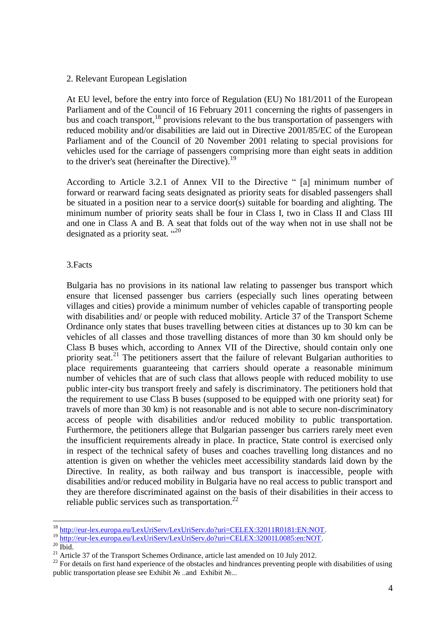#### 2. Relevant European Legislation

At EU level, before the entry into force of Regulation (EU) No 181/2011 of the European Parliament and of the Council of 16 February 2011 concerning the rights of passengers in bus and coach transport,<sup>18</sup> provisions relevant to the bus transportation of passengers with reduced mobility and/or disabilities are laid out in Directive 2001/85/EC of the European Parliament and of the Council of 20 November 2001 relating to special provisions for vehicles used for the carriage of passengers comprising more than eight seats in addition to the driver's seat (hereinafter the Directive).<sup>19</sup>

According to Article 3.2.1 of Annex VII to the Directive " [a] minimum number of forward or rearward facing seats designated as priority seats for disabled passengers shall be situated in a position near to a service door(s) suitable for boarding and alighting. The minimum number of priority seats shall be four in Class I, two in Class II and Class III and one in Class A and B. A seat that folds out of the way when not in use shall not be designated as a priority seat. "20

#### 3.Facts

Bulgaria has no provisions in its national law relating to passenger bus transport which ensure that licensed passenger bus carriers (especially such lines operating between villages and cities) provide a minimum number of vehicles capable of transporting people with disabilities and/ or people with reduced mobility. Article 37 of the Transport Scheme Ordinance only states that buses travelling between cities at distances up to 30 km can be vehicles of all classes and those travelling distances of more than 30 km should only be Class B buses which, according to Annex VII of the Directive, should contain only one priority seat.<sup>21</sup> The petitioners assert that the failure of relevant Bulgarian authorities to place requirements guaranteeing that carriers should operate a reasonable minimum number of vehicles that are of such class that allows people with reduced mobility to use public inter-city bus transport freely and safely is discriminatory. The petitioners hold that the requirement to use Class B buses (supposed to be equipped with one priority seat) for travels of more than 30 km) is not reasonable and is not able to secure non-discriminatory access of people with disabilities and/or reduced mobility to public transportation. Furthermore, the petitioners allege that Bulgarian passenger bus carriers rarely meet even the insufficient requirements already in place. In practice, State control is exercised only in respect of the technical safety of buses and coaches travelling long distances and no attention is given on whether the vehicles meet accessibility standards laid down by the Directive. In reality, as both railway and bus transport is inaccessible, people with disabilities and/or reduced mobility in Bulgaria have no real access to public transport and they are therefore discriminated against on the basis of their disabilities in their access to reliable public services such as transportation.<sup>22</sup>

1

<sup>&</sup>lt;sup>18</sup> [http://eur-lex.europa.eu/LexUriServ/LexUriServ.do?uri=CELEX:32011R0181:EN:NOT.](http://eur-lex.europa.eu/LexUriServ/LexUriServ.do?uri=CELEX:32011R0181:EN:NOT)

<sup>&</sup>lt;sup>19</sup> [http://eur-lex.europa.eu/LexUriServ/LexUriServ.do?uri=CELEX:32001L0085:en:NOT.](http://eur-lex.europa.eu/LexUriServ/LexUriServ.do?uri=CELEX:32001L0085:en:NOT)

 $20 \overline{\text{Hbid.}}$ 

<sup>&</sup>lt;sup>21</sup> Article 37 of the Transport Schemes Ordinance, article last amended on 10 July 2012.

<sup>&</sup>lt;sup>22</sup> For details on first hand experience of the obstacles and hindrances preventing people with disabilities of using public transportation please see Exhibit № ..and Exhibit №...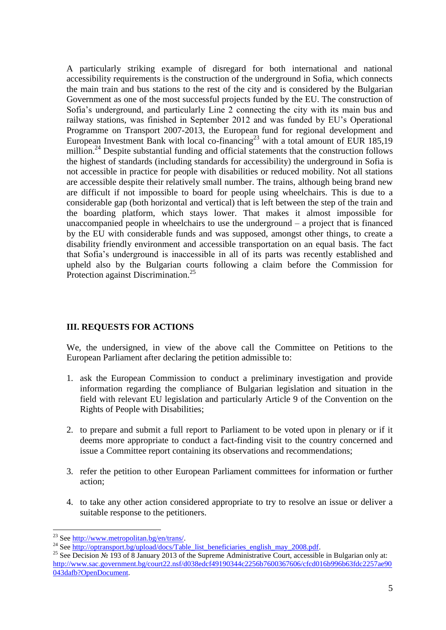A particularly striking example of disregard for both international and national accessibility requirements is the construction of the underground in Sofia, which connects the main train and bus stations to the rest of the city and is considered by the Bulgarian Government as one of the most successful projects funded by the EU. The construction of Sofia's underground, and particularly Line 2 connecting the city with its main bus and railway stations, was finished in September 2012 and was funded by EU's Operational Programme on Transport 2007-2013, the European fund for regional development and European Investment Bank with local co-financing<sup>23</sup> with a total amount of EUR 185,19 million.<sup>24</sup> Despite substantial funding and official statements that the construction follows the highest of standards (including standards for accessibility) the underground in Sofia is not accessible in practice for people with disabilities or reduced mobility. Not all stations are accessible despite their relatively small number. The trains, although being brand new are difficult if not impossible to board for people using wheelchairs. This is due to a considerable gap (both horizontal and vertical) that is left between the step of the train and the boarding platform, which stays lower. That makes it almost impossible for unaccompanied people in wheelchairs to use the underground – a project that is financed by the EU with considerable funds and was supposed, amongst other things, to create a disability friendly environment and accessible transportation on an equal basis. The fact that Sofia's underground is inaccessible in all of its parts was recently established and upheld also by the Bulgarian courts following a claim before the Commission for Protection against Discrimination.<sup>25</sup>

#### **III. REQUESTS FOR ACTIONS**

We, the undersigned, in view of the above call the Committee on Petitions to the European Parliament after declaring the petition admissible to:

- 1. ask the European Commission to conduct a preliminary investigation and provide information regarding the compliance of Bulgarian legislation and situation in the field with relevant EU legislation and particularly Article 9 of the Convention on the Rights of People with Disabilities;
- 2. to prepare and submit a full report to Parliament to be voted upon in plenary or if it deems more appropriate to conduct a fact-finding visit to the country concerned and issue a Committee report containing its observations and recommendations;
- 3. refer the petition to other European Parliament committees for information or further action;
- 4. to take any other action considered appropriate to try to resolve an issue or deliver a suitable response to the petitioners.

1

<sup>&</sup>lt;sup>23</sup> See http://www.metropolitan.bg/en/trans/.

<sup>&</sup>lt;sup>24</sup> See  $\frac{\ln(p)/\sqrt{W}w \cdot \ln(c_1/p)/\ln(c_2)}{\ln(p)/\sqrt{W}}$  See [http://optransport.bg/upload/docs/Table\\_list\\_beneficiaries\\_english\\_may\\_2008.pdf.](http://optransport.bg/upload/docs/Table_list_beneficiaries_english_may_2008.pdf)

<sup>&</sup>lt;sup>25</sup> See Decision № 193 of 8 January 2013 of the Supreme Administrative Court, accessible in Bulgarian only at: [http://www.sac.government.bg/court22.nsf/d038edcf49190344c2256b7600367606/cfcd016b996b63fdc2257ae90](http://www.sac.government.bg/court22.nsf/d038edcf49190344c2256b7600367606/cfcd016b996b63fdc2257ae90043dafb?OpenDocument) [043dafb?OpenDocument.](http://www.sac.government.bg/court22.nsf/d038edcf49190344c2256b7600367606/cfcd016b996b63fdc2257ae90043dafb?OpenDocument)